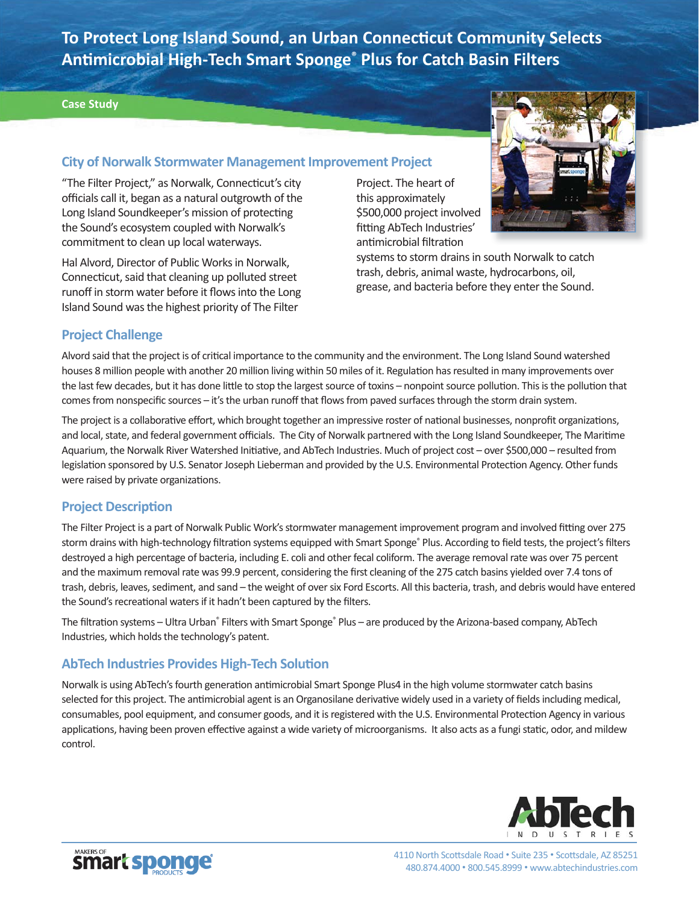**To Protect Long Island Sound, an Urban Connecticut Community Selects Anti microbial High-Tech Smart Sponge® Plus for Catch Basin Filters** 

#### **Case Study**

## **City of Norwalk Stormwater Management Improvement Project**

"The Filter Project," as Norwalk, Connecticut's city officials call it, began as a natural outgrowth of the Long Island Soundkeeper's mission of protecting the Sound's ecosystem coupled with Norwalk's commitment to clean up local waterways.

Hal Alvord, Director of Public Works in Norwalk, Connecticut, said that cleaning up polluted street runoff in storm water before it flows into the Long Island Sound was the highest priority of The Filter

Project. The heart of this approximately \$500,000 project involved fitting AbTech Industries' antimicrobial filtration



systems to storm drains in south Norwalk to catch trash, debris, animal waste, hydrocarbons, oil, grease, and bacteria before they enter the Sound.

### **Project Challenge**

Alvord said that the project is of critical importance to the community and the environment. The Long Island Sound watershed houses 8 million people with another 20 million living within 50 miles of it. Regulation has resulted in many improvements over the last few decades, but it has done little to stop the largest source of toxins – nonpoint source pollution. This is the pollution that comes from nonspecific sources – it's the urban runoff that flows from paved surfaces through the storm drain system.

The project is a collaborative effort, which brought together an impressive roster of national businesses, nonprofit organizations, and local, state, and federal government officials. The City of Norwalk partnered with the Long Island Soundkeeper, The Maritime Aquarium, the Norwalk River Watershed Initiative, and AbTech Industries. Much of project cost - over \$500,000 - resulted from legislation sponsored by U.S. Senator Joseph Lieberman and provided by the U.S. Environmental Protection Agency. Other funds were raised by private organizations.

### **Project Description**

The Filter Project is a part of Norwalk Public Work's stormwater management improvement program and involved fitting over 275 storm drains with high-technology filtration systems equipped with Smart Sponge® Plus. According to field tests, the project's filters destroyed a high percentage of bacteria, including E. coli and other fecal coliform. The average removal rate was over 75 percent and the maximum removal rate was 99.9 percent, considering the first cleaning of the 275 catch basins yielded over 7.4 tons of trash, debris, leaves, sediment, and sand – the weight of over six Ford Escorts. All this bacteria, trash, and debris would have entered the Sound's recreational waters if it hadn't been captured by the filters.

The filtration systems – Ultra Urban® Filters with Smart Sponge® Plus – are produced by the Arizona-based company, AbTech Industries, which holds the technology's patent.

# **AbTech Industries Provides High-Tech Solution**

Norwalk is using AbTech's fourth generation antimicrobial Smart Sponge Plus4 in the high volume stormwater catch basins selected for this project. The antimicrobial agent is an Organosilane derivative widely used in a variety of fields including medical, consumables, pool equipment, and consumer goods, and it is registered with the U.S. Environmental Protection Agency in various applications, having been proven effective against a wide variety of microorganisms. It also acts as a fungi static, odor, and mildew control.